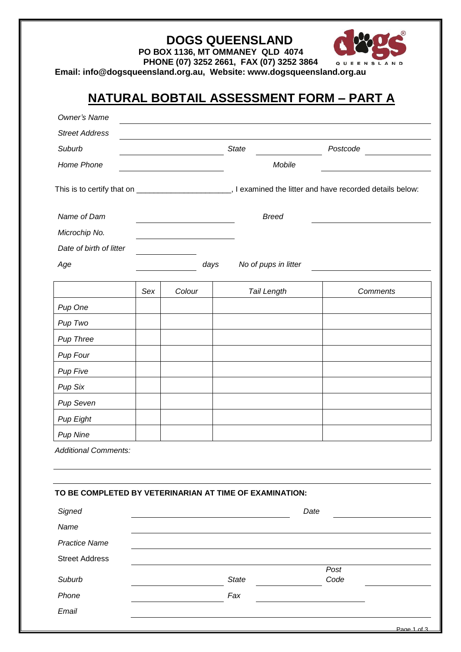| Email: info@dogsqueensland.org.au, Website: www.dogsqueensland.org.au |     |        | <b>DOGS QUEENSLAND</b><br>PO BOX 1136, MT OMMANEY QLD 4074<br>PHONE (07) 3252 2661, FAX (07) 3252 3864 | QUEENSLAND                               |
|-----------------------------------------------------------------------|-----|--------|--------------------------------------------------------------------------------------------------------|------------------------------------------|
|                                                                       |     |        |                                                                                                        | NATURAL BOBTAIL ASSESSMENT FORM - PART A |
| Owner's Name                                                          |     |        |                                                                                                        |                                          |
| <b>Street Address</b>                                                 |     |        |                                                                                                        |                                          |
| Suburb                                                                |     |        | <b>State</b>                                                                                           | Postcode                                 |
| Home Phone                                                            |     |        | Mobile                                                                                                 |                                          |
|                                                                       |     |        |                                                                                                        |                                          |
| Name of Dam                                                           |     |        | <b>Breed</b>                                                                                           |                                          |
| Microchip No.                                                         |     |        |                                                                                                        |                                          |
| Date of birth of litter                                               |     |        |                                                                                                        |                                          |
| Age                                                                   |     | days   | No of pups in litter                                                                                   |                                          |
|                                                                       | Sex | Colour | <b>Tail Length</b>                                                                                     | Comments                                 |
| Pup One                                                               |     |        |                                                                                                        |                                          |
| Pup Two                                                               |     |        |                                                                                                        |                                          |
| Pup Three                                                             |     |        |                                                                                                        |                                          |
| Pup Four                                                              |     |        |                                                                                                        |                                          |
| Pup Five                                                              |     |        |                                                                                                        |                                          |
| Pup Six                                                               |     |        |                                                                                                        |                                          |
| Pup Seven                                                             |     |        |                                                                                                        |                                          |
| <b>Pup Eight</b>                                                      |     |        |                                                                                                        |                                          |
| <b>Pup Nine</b>                                                       |     |        |                                                                                                        |                                          |
| <b>Additional Comments:</b>                                           |     |        |                                                                                                        |                                          |
| TO BE COMPLETED BY VETERINARIAN AT TIME OF EXAMINATION:               |     |        |                                                                                                        |                                          |
| Signed                                                                |     |        |                                                                                                        | Date                                     |
| Name                                                                  |     |        |                                                                                                        |                                          |
| <b>Practice Name</b>                                                  |     |        |                                                                                                        |                                          |
| <b>Street Address</b>                                                 |     |        |                                                                                                        |                                          |
| Suburb                                                                |     |        | <b>State</b>                                                                                           | Post<br>Code                             |
| Phone                                                                 |     |        | Fax                                                                                                    |                                          |
| Email                                                                 |     |        |                                                                                                        |                                          |

Page 1 of 3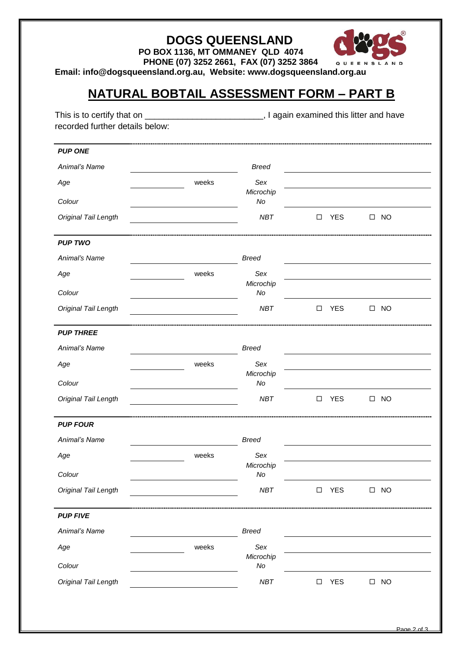|  | <b>DOGS QUEENSLAND</b> |  |
|--|------------------------|--|
|--|------------------------|--|



**PO BOX 1136, MT OMMANEY QLD 4074**

 **PHONE (07) 3252 2661, FAX (07) 3252 3864**

**Email: info@dogsqueensland.org.au, Website: www.dogsqueensland.org.au**

## **NATURAL BOBTAIL ASSESSMENT FORM – PART B**

| <b>PUP ONE</b>       |       |                  |        |            |                     |
|----------------------|-------|------------------|--------|------------|---------------------|
| Animal's Name        |       | <b>Breed</b>     |        |            |                     |
| Age                  | weeks | Sex              |        |            |                     |
| Colour               |       | Microchip<br>No  |        |            |                     |
| Original Tail Length |       | <b>NBT</b>       | □      | <b>YES</b> | $\square$ NO        |
| <b>PUP TWO</b>       |       |                  |        |            |                     |
| Animal's Name        |       | <b>Breed</b>     |        |            |                     |
| Age                  | weeks | Sex              |        |            |                     |
| Colour               |       | Microchip<br>No  |        |            |                     |
| Original Tail Length |       | <b>NBT</b>       | □      | <b>YES</b> | $\square$ NO        |
| <b>PUP THREE</b>     |       |                  |        |            |                     |
| Animal's Name        |       | <b>Breed</b>     |        |            |                     |
| Age                  | weeks | Sex              |        |            |                     |
| Colour               |       | Microchip<br>No  |        |            |                     |
| Original Tail Length |       | NBT              | $\Box$ | <b>YES</b> | $\Box$<br><b>NO</b> |
| <b>PUP FOUR</b>      |       |                  |        |            |                     |
| Animal's Name        |       | <b>Breed</b>     |        |            |                     |
| Age                  | weeks | Sex<br>Microchip |        |            |                     |
| Colour               |       | No               |        |            |                     |
| Original Tail Length |       | NBT              | □      | <b>YES</b> | $\Box$<br><b>NO</b> |
| <b>PUP FIVE</b>      |       |                  |        |            |                     |
| Animal's Name        |       | <b>Breed</b>     |        |            |                     |
| Age                  | weeks | Sex<br>Microchip |        |            |                     |
| Colour               |       | No               |        |            |                     |
| Original Tail Length |       | NBT              | □      | <b>YES</b> | $\square$ NO        |